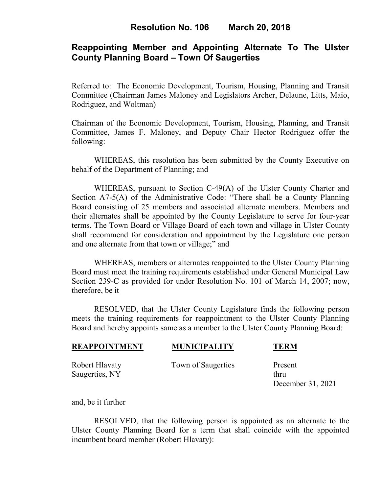# **Reappointing Member and Appointing Alternate To The Ulster County Planning Board – Town Of Saugerties**

Referred to: The Economic Development, Tourism, Housing, Planning and Transit Committee (Chairman James Maloney and Legislators Archer, Delaune, Litts, Maio, Rodriguez, and Woltman)

Chairman of the Economic Development, Tourism, Housing, Planning, and Transit Committee, James F. Maloney, and Deputy Chair Hector Rodriguez offer the following:

WHEREAS, this resolution has been submitted by the County Executive on behalf of the Department of Planning; and

WHEREAS, pursuant to Section C-49(A) of the Ulster County Charter and Section A7-5(A) of the Administrative Code: "There shall be a County Planning Board consisting of 25 members and associated alternate members. Members and their alternates shall be appointed by the County Legislature to serve for four-year terms. The Town Board or Village Board of each town and village in Ulster County shall recommend for consideration and appointment by the Legislature one person and one alternate from that town or village;" and

WHEREAS, members or alternates reappointed to the Ulster County Planning Board must meet the training requirements established under General Municipal Law Section 239-C as provided for under Resolution No. 101 of March 14, 2007; now, therefore, be it

 RESOLVED, that the Ulster County Legislature finds the following person meets the training requirements for reappointment to the Ulster County Planning Board and hereby appoints same as a member to the Ulster County Planning Board:

| <b>REAPPOINTMENT</b>             | <b>MUNICIPALITY</b> | TERM                                 |
|----------------------------------|---------------------|--------------------------------------|
| Robert Hlavaty<br>Saugerties, NY | Town of Saugerties  | Present<br>thru<br>December 31, 2021 |

and, be it further

RESOLVED, that the following person is appointed as an alternate to the Ulster County Planning Board for a term that shall coincide with the appointed incumbent board member (Robert Hlavaty):